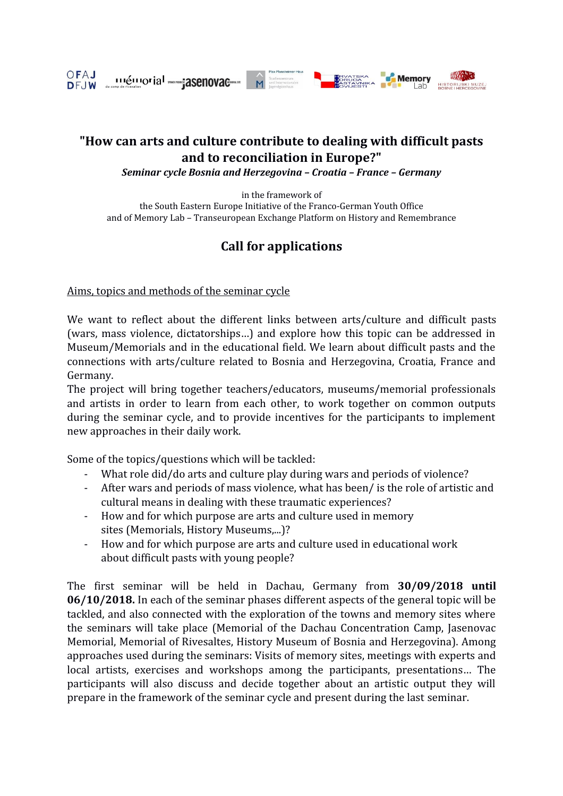

## **"How can arts and culture contribute to dealing with difficult pasts and to reconciliation in Europe?"**

*Seminar cycle Bosnia and Herzegovina – Croatia – France – Germany*

in the framework of the South Eastern Europe Initiative of the Franco-German Youth Office and of Memory Lab – Transeuropean Exchange Platform on History and Remembrance

# **Call for applications**

Aims, topics and methods of the seminar cycle

We want to reflect about the different links between arts/culture and difficult pasts (wars, mass violence, dictatorships…) and explore how this topic can be addressed in Museum/Memorials and in the educational field. We learn about difficult pasts and the connections with arts/culture related to Bosnia and Herzegovina, Croatia, France and Germany.

The project will bring together teachers/educators, museums/memorial professionals and artists in order to learn from each other, to work together on common outputs during the seminar cycle, and to provide incentives for the participants to implement new approaches in their daily work.

Some of the topics/questions which will be tackled:

- What role did/do arts and culture play during wars and periods of violence?
- After wars and periods of mass violence, what has been/ is the role of artistic and cultural means in dealing with these traumatic experiences?
- How and for which purpose are arts and culture used in memory sites (Memorials, History Museums,...)?
- How and for which purpose are arts and culture used in educational work about difficult pasts with young people?

The first seminar will be held in Dachau, Germany from **30/09/2018 until 06/10/2018.** In each of the seminar phases different aspects of the general topic will be tackled, and also connected with the exploration of the towns and memory sites where the seminars will take place (Memorial of the Dachau Concentration Camp, Jasenovac Memorial, Memorial of Rivesaltes, History Museum of Bosnia and Herzegovina). Among approaches used during the seminars: Visits of memory sites, meetings with experts and local artists, exercises and workshops among the participants, presentations… The participants will also discuss and decide together about an artistic output they will prepare in the framework of the seminar cycle and present during the last seminar.